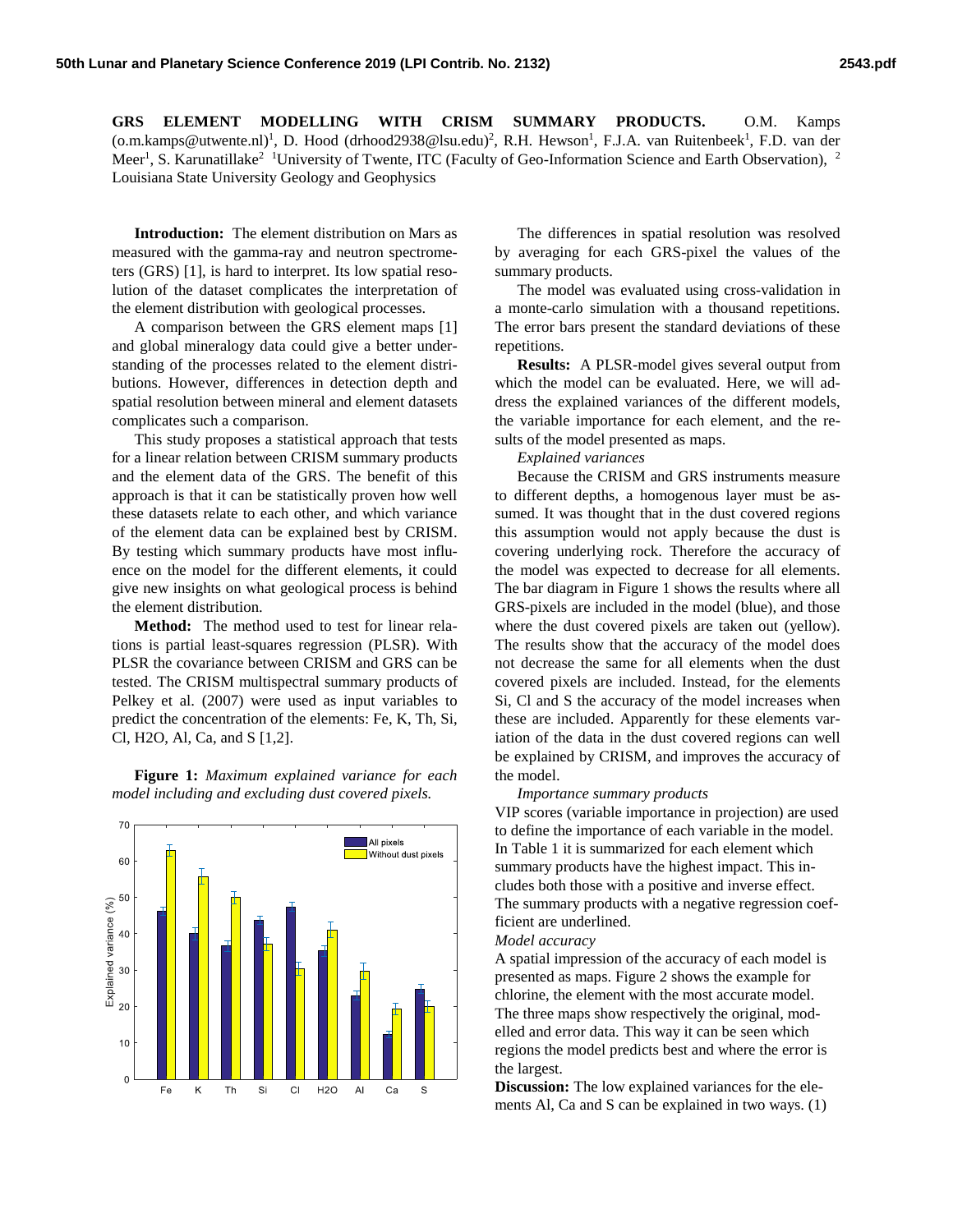**GRS ELEMENT MODELLING WITH CRISM SUMMARY PRODUCTS.** O.M. Kamps [\(o.m.kamps@utwente.nl\)](mailto:o.m.kamps@utwente.nl)<sup>1</sup>, D. Hood (drhood2938@lsu.edu)<sup>2</sup>, R.H. Hewson<sup>1</sup>, F.J.A. van Ruitenbeek<sup>1</sup>, F.D. van der Meer<sup>1</sup>, S. Karunatillake<sup>2</sup> <sup>1</sup>University of Twente, ITC (Faculty of Geo-Information Science and Earth Observation), <sup>2</sup> Louisiana State University Geology and Geophysics

**Introduction:** The element distribution on Mars as measured with the gamma-ray and neutron spectrometers (GRS) [1], is hard to interpret. Its low spatial resolution of the dataset complicates the interpretation of the element distribution with geological processes.

A comparison between the GRS element maps [1] and global mineralogy data could give a better understanding of the processes related to the element distributions. However, differences in detection depth and spatial resolution between mineral and element datasets complicates such a comparison.

This study proposes a statistical approach that tests for a linear relation between CRISM summary products and the element data of the GRS. The benefit of this approach is that it can be statistically proven how well these datasets relate to each other, and which variance of the element data can be explained best by CRISM. By testing which summary products have most influence on the model for the different elements, it could give new insights on what geological process is behind the element distribution.

**Method:** The method used to test for linear relations is partial least-squares regression (PLSR). With PLSR the covariance between CRISM and GRS can be tested. The CRISM multispectral summary products of Pelkey et al. (2007) were used as input variables to predict the concentration of the elements: Fe, K, Th, Si, Cl, H2O, Al, Ca, and S [1,2].

**Figure 1:** *Maximum explained variance for each model including and excluding dust covered pixels.*



The differences in spatial resolution was resolved by averaging for each GRS-pixel the values of the summary products.

The model was evaluated using cross-validation in a monte-carlo simulation with a thousand repetitions. The error bars present the standard deviations of these repetitions.

**Results:** A PLSR-model gives several output from which the model can be evaluated. Here, we will address the explained variances of the different models, the variable importance for each element, and the results of the model presented as maps.

*Explained variances*

Because the CRISM and GRS instruments measure to different depths, a homogenous layer must be assumed. It was thought that in the dust covered regions this assumption would not apply because the dust is covering underlying rock. Therefore the accuracy of the model was expected to decrease for all elements. The bar diagram in Figure 1 shows the results where all GRS-pixels are included in the model (blue), and those where the dust covered pixels are taken out (yellow). The results show that the accuracy of the model does not decrease the same for all elements when the dust covered pixels are included. Instead, for the elements Si, Cl and S the accuracy of the model increases when these are included. Apparently for these elements variation of the data in the dust covered regions can well be explained by CRISM, and improves the accuracy of the model.

## *Importance summary products*

VIP scores (variable importance in projection) are used to define the importance of each variable in the model. In Table 1 it is summarized for each element which summary products have the highest impact. This includes both those with a positive and inverse effect. The summary products with a negative regression coefficient are underlined.

## *Model accuracy*

A spatial impression of the accuracy of each model is presented as maps. Figure 2 shows the example for chlorine, the element with the most accurate model. The three maps show respectively the original, modelled and error data. This way it can be seen which regions the model predicts best and where the error is the largest.

**Discussion:** The low explained variances for the elements Al, Ca and S can be explained in two ways. (1)